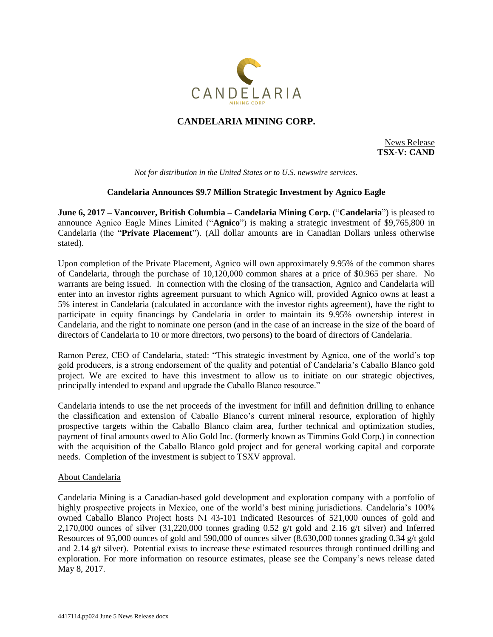

# **CANDELARIA MINING CORP.**

News Release **TSX-V: CAND**

*Not for distribution in the United States or to U.S. newswire services.*

## **Candelaria Announces \$9.7 Million Strategic Investment by Agnico Eagle**

**June 6, 2017 – Vancouver, British Columbia – Candelaria Mining Corp.** ("**Candelaria**") is pleased to announce Agnico Eagle Mines Limited ("**Agnico**") is making a strategic investment of \$9,765,800 in Candelaria (the "**Private Placement**"). (All dollar amounts are in Canadian Dollars unless otherwise stated).

Upon completion of the Private Placement, Agnico will own approximately 9.95% of the common shares of Candelaria, through the purchase of 10,120,000 common shares at a price of \$0.965 per share. No warrants are being issued. In connection with the closing of the transaction, Agnico and Candelaria will enter into an investor rights agreement pursuant to which Agnico will, provided Agnico owns at least a 5% interest in Candelaria (calculated in accordance with the investor rights agreement), have the right to participate in equity financings by Candelaria in order to maintain its 9.95% ownership interest in Candelaria, and the right to nominate one person (and in the case of an increase in the size of the board of directors of Candelaria to 10 or more directors, two persons) to the board of directors of Candelaria.

Ramon Perez, CEO of Candelaria, stated: "This strategic investment by Agnico, one of the world's top gold producers, is a strong endorsement of the quality and potential of Candelaria's Caballo Blanco gold project. We are excited to have this investment to allow us to initiate on our strategic objectives, principally intended to expand and upgrade the Caballo Blanco resource."

Candelaria intends to use the net proceeds of the investment for infill and definition drilling to enhance the classification and extension of Caballo Blanco's current mineral resource, exploration of highly prospective targets within the Caballo Blanco claim area, further technical and optimization studies, payment of final amounts owed to Alio Gold Inc. (formerly known as Timmins Gold Corp.) in connection with the acquisition of the Caballo Blanco gold project and for general working capital and corporate needs. Completion of the investment is subject to TSXV approval.

#### About Candelaria

Candelaria Mining is a Canadian-based gold development and exploration company with a portfolio of highly prospective projects in Mexico, one of the world's best mining jurisdictions. Candelaria's 100% owned Caballo Blanco Project hosts NI 43-101 Indicated Resources of 521,000 ounces of gold and 2,170,000 ounces of silver  $(31,220,000)$  tonnes grading 0.52 g/t gold and 2.16 g/t silver) and Inferred Resources of 95,000 ounces of gold and 590,000 of ounces silver (8,630,000 tonnes grading 0.34 g/t gold and 2.14 g/t silver). Potential exists to increase these estimated resources through continued drilling and exploration. For more information on resource estimates, please see the Company's news release dated May 8, 2017.